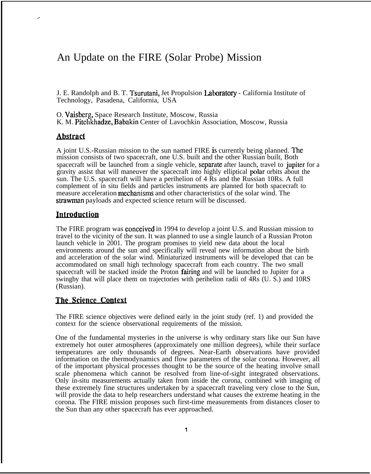# An Update on the FIRE (Solar Probe) Mission

J. E. Randolph and B. T. Tsurutani, Jet Propulsion Laboratow - California Institute of Technology, Pasadena, California, USA

O. Vaisberg, Space Research Institute, Moscow, Russia K. M. Pitchkhadze, Babakin Center of Lavochkin Association, Moscow, Russia

### **Abstract**

. .

A joint U.S.-Russian mission to the sun named FIRE is currently being planned. The mission consists of two spacecraft, one U.S. built and the other Russian built, Both spacecraft will be launched from a single vehicle, separate after launch, travel to jupiter for a gravity assist that will maneuver the spacecraft into highly elliptical polar orbits about the sun. The U.S. spacecraft will have a perihelion of 4 Rs and the Russian 10Rs. A full complement of in situ fields and particles instruments are planned for both spacecraft to measure acceleration mechanisms and other characteristics of the solar wind. The strawman payloads and expected science return will be discussed.

# Introduction

The FIRE program was **conceived** in 1994 to develop a joint U.S. and Russian mission to travel to the vicinity of the sun. It was planned to use a single launch of a Russian Proton launch vehicle in 2001. The program promises to yield new data about the local environments around the sun and specifically will reveal new information about the birth and acceleration of the solar wind. Miniaturized instruments will be developed that can be accommodated on small high technology spacecraft from each country. The two small spacecraft will be stacked inside the Proton fahing and will be launched to Jupiter for a swingby that will place them on trajectories with perihelion radii of 4Rs (U. S.) and 10RS (Russian).

### The Science Context

The FIRE science objectives were defined early in the joint study (ref. 1) and provided the context for the science observational requirements of the mission.

One of the fundamental mysteries in the universe is why ordinary stars like our Sun have extremely hot outer atmospheres (approximately one million degrees), while their surface temperatures are only thousands of degrees. Near-Earth observations have provided information on the thermodynamics and flow parameters of the solar corona. However, all of the important physical processes thought to be the source of the heating involve small scale phenomena which cannot be resolved from line-of-sight integrated observations. Only in-situ measurements actually taken from inside the corona, combined with imaging of these extremely fine structures undertaken by a spacecraft traveling very close to the Sun, will provide the data to help researchers understand what causes the extreme heating in the corona. The FIRE mission proposes such first-time measurements from distances closer to the Sun than any other spacecraft has ever approached.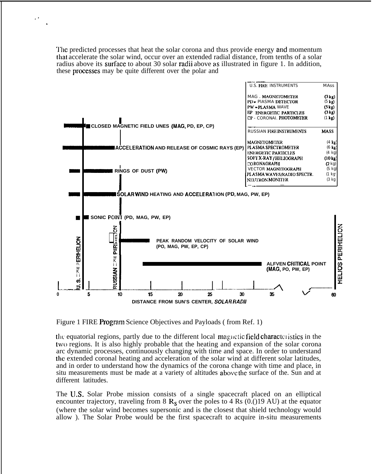The predicted processes that heat the solar corona and thus provide energy and momentum that accelerate the solar wind, occur over an extended radial distance, from tenths of a solar radius above its surface to about 30 solar radii above as illustrated in figure 1. In addition, these processes may be quite different over the polar and



Figure 1 FIRE Program Science Objectives and Payloads (from Ref. 1)

the equatorial regions, partly due to the different local magnetic field characteristics in the two regions. It is also highly probable that the heating and expansion of the solar corona arc dynamic processes, continuously changing with time and space. In order to understand the extended coronal heating and acceleration of the solar wind at different solar latitudes, and in order to understand how the dynamics of the corona change with time and place, in situ measurements must be made at a variety of altitudes above the surface of the. Sun and at different latitudes.

The U.S. Solar Probe mission consists of a single spacecraft placed on an elliptical encounter trajectory, traveling from 8  $R_s$  over the poles to 4 Rs (0.()19 AU) at the equator (where the solar wind becomes supersonic and is the closest that shield technology would allow). The Solar Probe would be the first spacecraft to acquire in-situ measurements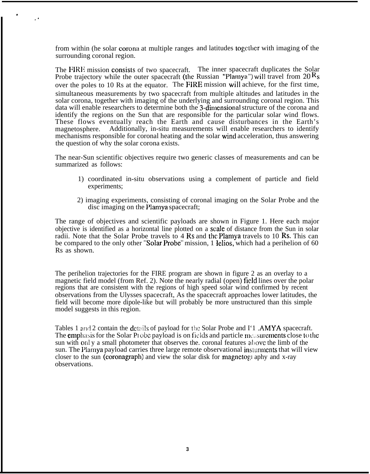from within (he solar corona at multiple ranges and latitudes together with imaging of the surrounding coronal region.

.

,.

The FIRE mission consists of two spacecraft. The inner spacecraft duplicates the Solar Probe trajectory while the outer spacecraft (the Russian "Plamya") will travel from  $20 \text{ R}_s$ over the poles to 10 Rs at the equator. The FIRE mission will achieve, for the first time, simultaneous measurements by two spacecraft from multiple altitudes and latitudes in the solar corona, together with imaging of the underlying and surrounding coronal region. This data will enable researchers to determine both the 3-dimensional structure of the corona and identify the regions on the Sun that are responsible for the particular solar wind flows. These flows eventually reach the Earth and cause disturbances in the Earth's magnetosphere. Additionally, in-situ measurements will enable researchers to identify mechanisms responsible for coronal heating and the solar wind acceleration, thus answering the question of why the solar corona exists.

The near-Sun scientific objectives require two generic classes of measurements and can be summarized as follows:

- 1) coordinated in-situ observations using a complement of particle and field experiments;
- 2) imaging experiments, consisting of coronal imaging on the Solar Probe and the disc imaging on the Plamya spacecraft;

The range of objectives and scientific payloads are shown in Figure 1. Here each major objective is identified as a horizontal line plotted on a scale of distance from the Sun in solar radii. Note that the Solar Probe travels to 4 Rs and the Plamya travels to 10 Rs. This can be compared to the only other "Solar Probe" mission, 1 Ielios, which had a perihelion of 60 Rs as shown.

The perihelion trajectories for the FIRE program are shown in figure 2 as an overlay to a magnetic field model (from Ref. 2). Note the nearly radial (open) field lines over the polar regions that are consistent with the regions of high speed solar wind confirmed by recent observations from the Ulysses spacecraft, As the spacecraft approaches lower latitudes, the field will become more dipole-like but will probably be more unstructured than this simple model suggests in this region.

Tables 1 and 2 contain the details of payload for the Solar Probe and I'1 .AMYA spacecraft. The emphasis for the Solar PI obe payload is on fields and particle measurements close to the sun with only a small photometer that observes the. coronal features above the limb of the sun. The Plamya payload carries three large remote observational insturments that will view closer to the sun (coronagraph) and view the solar disk for magnetogy aphy and x-ray observations.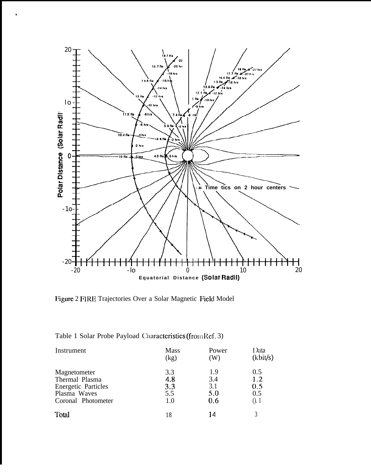

Figure 2 FIRE Trajectories Over a Solar Magnetic Field Model

| Table 1 Solar Probe Payload Characteristics (from Ref. 3) |  |  |  |
|-----------------------------------------------------------|--|--|--|
|-----------------------------------------------------------|--|--|--|

| Instrument                 | Mass<br>(kg) | Power<br>(W) | I lata<br>(kbit/s) |
|----------------------------|--------------|--------------|--------------------|
| Magnetometer               | 3.3          | 1.9          | 0.5                |
| Thermal Plasma             | 4.8          | 3.4          | 1.2                |
| <b>Energetic Particles</b> | 3.3          | 3.1          | 0.5                |
| Plasma Waves               | 5.5          | 5.0          | 0.5                |
| Coronal Photometer         | 1.0          | 0.6          | (0, 1)             |
| Total                      | 18           | 14           |                    |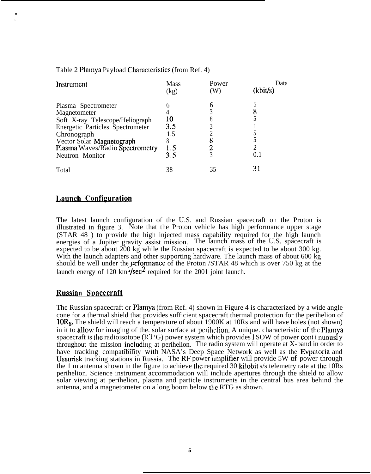#### Table 2 Plamya Payload Characteristics (from Ref. 4)

| Instrument                                                                                                                                                                                                          | Mass<br>(kg)                        | Power<br>(W) | Data<br>(kbit/s) |
|---------------------------------------------------------------------------------------------------------------------------------------------------------------------------------------------------------------------|-------------------------------------|--------------|------------------|
| Plasma Spectrometer<br>Magnetometer<br>Soft X-ray Telescope/Heliograph<br><b>Energetic Particles Spectrometer</b><br>Chronograph<br>Vector Solar Magnetograph<br>Plasma Waves/Radio Spectrometry<br>Neutron Monitor | 10<br>3.5<br>1.5<br>Λ<br>1.5<br>3.5 | h            | 0.1              |
| Total                                                                                                                                                                                                               | 38                                  | 35           | 31               |

## Launch Configuration

● ✎

> The latest launch configuration of the U.S. and Russian spacecraft on the Proton is illustrated in figure 3. Note that the Proton vehicle has high performance upper stage (STAR 48 ) to provide the high injected mass capability required for the high launch energies of a Jupiter gravity assist mission. The launch mass of the U.S. spacecraft is expected to be about 200 kg while the Russian spacecraft is expected to be about 300 kg. With the launch adapters and other supporting hardware. The launch mass of about 600 kg should be well under the **prformance** of the Proton /STAR 48 which is over 750 kg at the launch energy of 120 km  $\frac{4}{\text{sec}^2}$  required for the 2001 joint launch.

## **Russian Spacecraft**

The Russian spacecraft or Plamya (from Ref. 4) shown in Figure 4 is characterized by a wide angle cone for a thermal shield that provides sufficient spacecraft thermal protection for the perihelion of 10R<sub>S</sub>. The shield will reach a temperature of about 1900K at 10Rs and will have holes (not shown) in it to allow for imaging of the. solar surface at perihelion. A unique. characteristic of the Plamya spacecraft is the radioisotope  $(RT^*G)$  power system which provides 1 SOW of power cont i nuously throughout the mission including at perihelion. The radio system will operate at X-band in order to have tracking compatibility with NASA's Deep Space Network as well as the Evpatoria and Ussurisk tracking stations in Russia. The RF power amplifier will provide 5W of power through the 1 m antenna shown in the figure to achieve the required 30 kilobit s/s telemetry rate at the 10Rs perihelion. Science instrument accommodation will include apertures through the shield to allow solar viewing at perihelion, plasma and particle instruments in the central bus area behind the antenna, and a magnetometer on a long boom below the RTG as shown.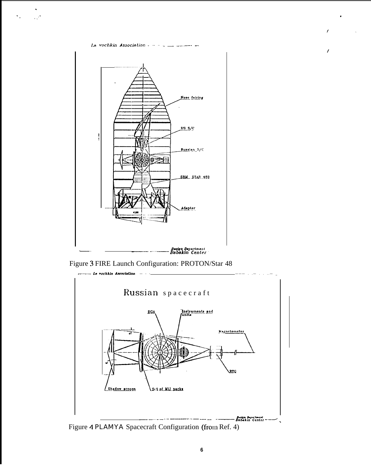La vochkin Association  $- - -$ 



Figure 3 FIRE Launch Configuration: PROTON/Star 48



Figure 4 PLAMYA Spacecraft Configuration (from Ref. 4)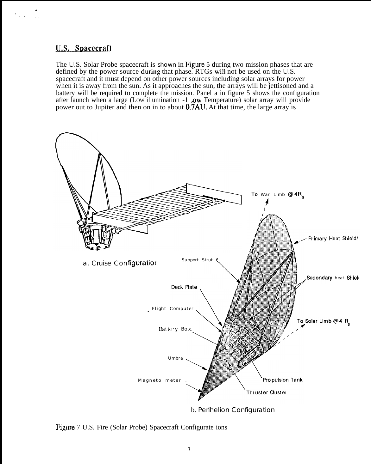# U.S. Spacecraft

The U.S. Solar Probe spacecraft is shown in Figure 5 during two mission phases that are defined by the power source during that phase. RTGs will not be used on the U.S. spacecraft and it must depend on other power sources including solar arrays for power when it is away from the sun. As it approaches the sun, the arrays will be jettisoned and a battery will be required to complete the mission. Panel a in figure 5 shows the configuration after launch when a large (Low illumination -1 *ow* Temperature) solar array will provide power out to Jupiter and then on in to about 0.7AU. At that time, the large array is



Figure 7 U.S. Fire (Solar Probe) Spacecraft Configurate ions